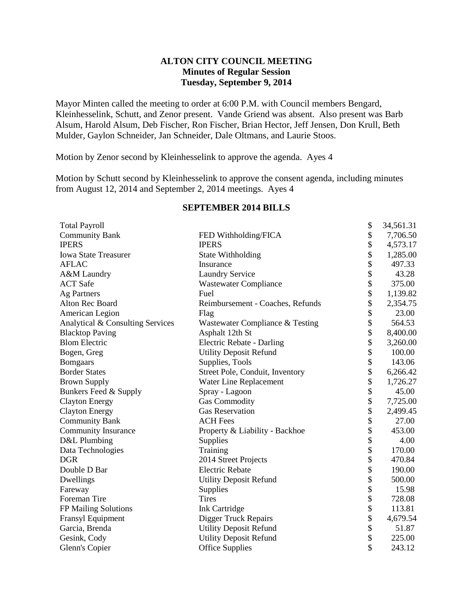## **ALTON CITY COUNCIL MEETING Minutes of Regular Session Tuesday, September 9, 2014**

Mayor Minten called the meeting to order at 6:00 P.M. with Council members Bengard, Kleinhesselink, Schutt, and Zenor present. Vande Griend was absent. Also present was Barb Alsum, Harold Alsum, Deb Fischer, Ron Fischer, Brian Hector, Jeff Jensen, Don Krull, Beth Mulder, Gaylon Schneider, Jan Schneider, Dale Oltmans, and Laurie Stoos.

Motion by Zenor second by Kleinhesselink to approve the agenda. Ayes 4

Motion by Schutt second by Kleinhesselink to approve the consent agenda, including minutes from August 12, 2014 and September 2, 2014 meetings. Ayes 4

| <b>Total Payroll</b>             |                                  | \$<br>34,561.31 |
|----------------------------------|----------------------------------|-----------------|
| <b>Community Bank</b>            | FED Withholding/FICA             | \$<br>7,706.50  |
| <b>IPERS</b>                     | <b>IPERS</b>                     | \$<br>4,573.17  |
| <b>Iowa State Treasurer</b>      | State Withholding                | \$<br>1,285.00  |
| <b>AFLAC</b>                     | Insurance                        | \$<br>497.33    |
| A&M Laundry                      | <b>Laundry Service</b>           | \$<br>43.28     |
| <b>ACT</b> Safe                  | <b>Wastewater Compliance</b>     | \$<br>375.00    |
| <b>Ag Partners</b>               | Fuel                             | \$<br>1,139.82  |
| Alton Rec Board                  | Reimbursement - Coaches, Refunds | \$<br>2,354.75  |
| American Legion                  | Flag                             | \$<br>23.00     |
| Analytical & Consulting Services | Wastewater Compliance & Testing  | \$<br>564.53    |
| <b>Blacktop Paving</b>           | Asphalt 12th St                  | \$<br>8,400.00  |
| <b>Blom Electric</b>             | <b>Electric Rebate - Darling</b> | \$<br>3,260.00  |
| Bogen, Greg                      | <b>Utility Deposit Refund</b>    | \$<br>100.00    |
| <b>Bomgaars</b>                  | Supplies, Tools                  | \$<br>143.06    |
| <b>Border States</b>             | Street Pole, Conduit, Inventory  | \$<br>6,266.42  |
| <b>Brown Supply</b>              | Water Line Replacement           | \$<br>1,726.27  |
| Bunkers Feed & Supply            | Spray - Lagoon                   | \$<br>45.00     |
| <b>Clayton Energy</b>            | <b>Gas Commodity</b>             | \$<br>7,725.00  |
| <b>Clayton Energy</b>            | <b>Gas Reservation</b>           | \$<br>2,499.45  |
| <b>Community Bank</b>            | <b>ACH Fees</b>                  | \$<br>27.00     |
| <b>Community Insurance</b>       | Property & Liability - Backhoe   | \$<br>453.00    |
| D&L Plumbing                     | Supplies                         | \$<br>4.00      |
| Data Technologies                | Training                         | \$<br>170.00    |
| <b>DGR</b>                       | 2014 Street Projects             | \$<br>470.84    |
| Double D Bar                     | <b>Electric Rebate</b>           | \$<br>190.00    |
| Dwellings                        | <b>Utility Deposit Refund</b>    | \$<br>500.00    |
| Fareway                          | Supplies                         | \$<br>15.98     |
| Foreman Tire                     | <b>Tires</b>                     | \$<br>728.08    |
| FP Mailing Solutions             | <b>Ink Cartridge</b>             | \$<br>113.81    |
| Fransyl Equipment                | <b>Digger Truck Repairs</b>      | \$<br>4,679.54  |
| Garcia, Brenda                   | <b>Utility Deposit Refund</b>    | \$<br>51.87     |
| Gesink, Cody                     | <b>Utility Deposit Refund</b>    | \$<br>225.00    |
| Glenn's Copier                   | <b>Office Supplies</b>           | \$<br>243.12    |

### **SEPTEMBER 2014 BILLS**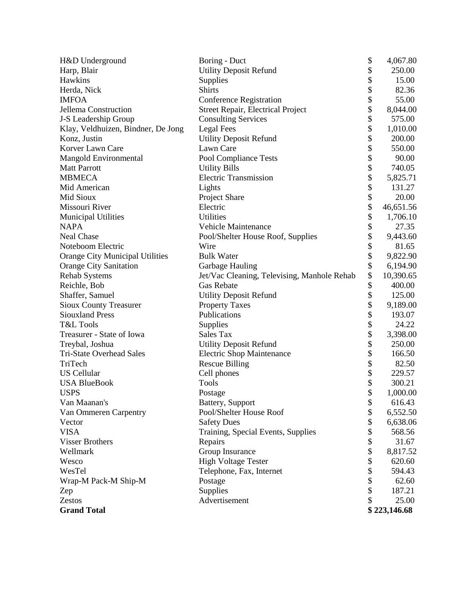| H&D Underground                    | Boring - Duct                               | \$ | 4,067.80     |
|------------------------------------|---------------------------------------------|----|--------------|
| Harp, Blair                        | <b>Utility Deposit Refund</b>               | \$ | 250.00       |
| Hawkins                            | Supplies                                    |    | 15.00        |
| Herda, Nick                        | <b>Shirts</b>                               |    | 82.36        |
| <b>IMFOA</b>                       | <b>Conference Registration</b>              |    | 55.00        |
| Jellema Construction               | <b>Street Repair, Electrical Project</b>    |    | 8,044.00     |
| J-S Leadership Group               | <b>Consulting Services</b>                  |    | 575.00       |
| Klay, Veldhuizen, Bindner, De Jong | <b>Legal Fees</b>                           | \$ | 1,010.00     |
| Konz, Justin                       | <b>Utility Deposit Refund</b>               | \$ | 200.00       |
| Korver Lawn Care                   | Lawn Care                                   | \$ | 550.00       |
| Mangold Environmental              | Pool Compliance Tests                       | \$ | 90.00        |
| <b>Matt Parrott</b>                | <b>Utility Bills</b>                        | \$ | 740.05       |
| <b>MBMECA</b>                      | <b>Electric Transmission</b>                | \$ | 5,825.71     |
| Mid American                       | Lights                                      | \$ | 131.27       |
| Mid Sioux                          | Project Share                               | \$ | 20.00        |
| Missouri River                     | Electric                                    | \$ | 46,651.56    |
| <b>Municipal Utilities</b>         | Utilities                                   | \$ | 1,706.10     |
| <b>NAPA</b>                        | <b>Vehicle Maintenance</b>                  | \$ | 27.35        |
| <b>Neal Chase</b>                  | Pool/Shelter House Roof, Supplies           | \$ | 9,443.60     |
| Noteboom Electric                  | Wire                                        | \$ | 81.65        |
| Orange City Municipal Utilities    | <b>Bulk Water</b>                           | \$ | 9,822.90     |
| <b>Orange City Sanitation</b>      | Garbage Hauling                             | \$ | 6,194.90     |
| <b>Rehab Systems</b>               | Jet/Vac Cleaning, Televising, Manhole Rehab | \$ | 10,390.65    |
| Reichle, Bob                       | Gas Rebate                                  | \$ | 400.00       |
| Shaffer, Samuel                    | <b>Utility Deposit Refund</b>               | \$ | 125.00       |
| <b>Sioux County Treasurer</b>      | <b>Property Taxes</b>                       | \$ | 9,189.00     |
| <b>Siouxland Press</b>             | Publications                                | \$ | 193.07       |
| T&L Tools                          | Supplies                                    | \$ | 24.22        |
| Treasurer - State of Iowa          | Sales Tax                                   | \$ | 3,398.00     |
| Treybal, Joshua                    | <b>Utility Deposit Refund</b>               | \$ | 250.00       |
| Tri-State Overhead Sales           | <b>Electric Shop Maintenance</b>            | \$ | 166.50       |
| TriTech                            | <b>Rescue Billing</b>                       | \$ | 82.50        |
| <b>US Cellular</b>                 | Cell phones                                 | \$ | 229.57       |
| <b>USA BlueBook</b>                | <b>Tools</b>                                | \$ | 300.21       |
| <b>USPS</b>                        | Postage                                     | \$ | 1,000.00     |
| Van Maanan's                       | Battery, Support                            | \$ | 616.43       |
| Van Ommeren Carpentry              | Pool/Shelter House Roof                     | \$ | 6,552.50     |
| Vector                             | <b>Safety Dues</b>                          | \$ | 6,638.06     |
| <b>VISA</b>                        | Training, Special Events, Supplies          | \$ | 568.56       |
| <b>Visser Brothers</b>             | Repairs                                     | \$ | 31.67        |
| Wellmark                           | Group Insurance                             | \$ | 8,817.52     |
| Wesco                              | <b>High Voltage Tester</b>                  | \$ | 620.60       |
| WesTel                             | Telephone, Fax, Internet                    | \$ | 594.43       |
| Wrap-M Pack-M Ship-M               | Postage                                     | \$ | 62.60        |
| Zep                                | Supplies                                    | \$ | 187.21       |
| Zestos                             | Advertisement                               | \$ | 25.00        |
| <b>Grand Total</b>                 |                                             |    | \$223,146.68 |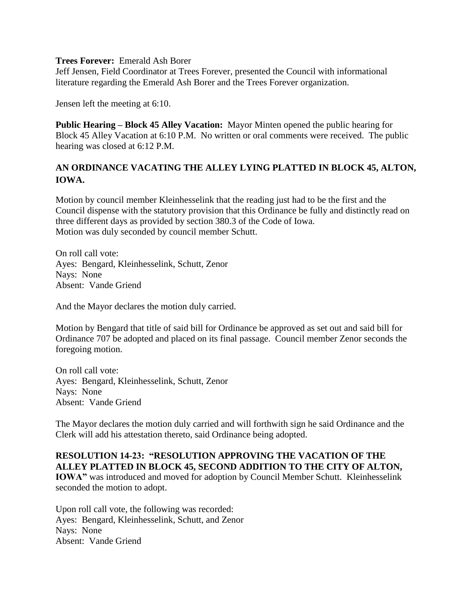## **Trees Forever:** Emerald Ash Borer

Jeff Jensen, Field Coordinator at Trees Forever, presented the Council with informational literature regarding the Emerald Ash Borer and the Trees Forever organization.

Jensen left the meeting at 6:10.

**Public Hearing – Block 45 Alley Vacation:** Mayor Minten opened the public hearing for Block 45 Alley Vacation at 6:10 P.M. No written or oral comments were received. The public hearing was closed at 6:12 P.M.

# **AN ORDINANCE VACATING THE ALLEY LYING PLATTED IN BLOCK 45, ALTON, IOWA.**

Motion by council member Kleinhesselink that the reading just had to be the first and the Council dispense with the statutory provision that this Ordinance be fully and distinctly read on three different days as provided by section 380.3 of the Code of Iowa. Motion was duly seconded by council member Schutt.

On roll call vote: Ayes: Bengard, Kleinhesselink, Schutt, Zenor Nays: None Absent: Vande Griend

And the Mayor declares the motion duly carried.

Motion by Bengard that title of said bill for Ordinance be approved as set out and said bill for Ordinance 707 be adopted and placed on its final passage. Council member Zenor seconds the foregoing motion.

On roll call vote: Ayes: Bengard, Kleinhesselink, Schutt, Zenor Nays: None Absent: Vande Griend

The Mayor declares the motion duly carried and will forthwith sign he said Ordinance and the Clerk will add his attestation thereto, said Ordinance being adopted.

## **RESOLUTION 14-23: "RESOLUTION APPROVING THE VACATION OF THE ALLEY PLATTED IN BLOCK 45, SECOND ADDITION TO THE CITY OF ALTON,**

**IOWA"** was introduced and moved for adoption by Council Member Schutt. Kleinhesselink seconded the motion to adopt.

Upon roll call vote, the following was recorded: Ayes: Bengard, Kleinhesselink, Schutt, and Zenor Nays: None Absent: Vande Griend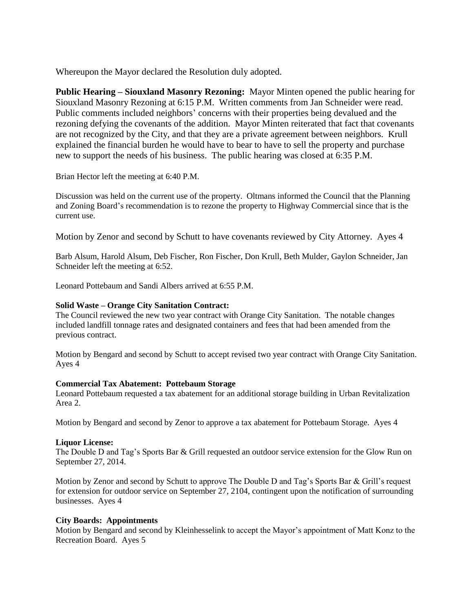Whereupon the Mayor declared the Resolution duly adopted.

**Public Hearing – Siouxland Masonry Rezoning:** Mayor Minten opened the public hearing for Siouxland Masonry Rezoning at 6:15 P.M. Written comments from Jan Schneider were read. Public comments included neighbors' concerns with their properties being devalued and the rezoning defying the covenants of the addition. Mayor Minten reiterated that fact that covenants are not recognized by the City, and that they are a private agreement between neighbors. Krull explained the financial burden he would have to bear to have to sell the property and purchase new to support the needs of his business. The public hearing was closed at 6:35 P.M.

Brian Hector left the meeting at 6:40 P.M.

Discussion was held on the current use of the property. Oltmans informed the Council that the Planning and Zoning Board's recommendation is to rezone the property to Highway Commercial since that is the current use.

Motion by Zenor and second by Schutt to have covenants reviewed by City Attorney. Ayes 4

Barb Alsum, Harold Alsum, Deb Fischer, Ron Fischer, Don Krull, Beth Mulder, Gaylon Schneider, Jan Schneider left the meeting at 6:52.

Leonard Pottebaum and Sandi Albers arrived at 6:55 P.M.

## **Solid Waste – Orange City Sanitation Contract:**

The Council reviewed the new two year contract with Orange City Sanitation. The notable changes included landfill tonnage rates and designated containers and fees that had been amended from the previous contract.

Motion by Bengard and second by Schutt to accept revised two year contract with Orange City Sanitation. Ayes 4

#### **Commercial Tax Abatement: Pottebaum Storage**

Leonard Pottebaum requested a tax abatement for an additional storage building in Urban Revitalization Area 2.

Motion by Bengard and second by Zenor to approve a tax abatement for Pottebaum Storage. Ayes 4

## **Liquor License:**

The Double D and Tag's Sports Bar & Grill requested an outdoor service extension for the Glow Run on September 27, 2014.

Motion by Zenor and second by Schutt to approve The Double D and Tag's Sports Bar & Grill's request for extension for outdoor service on September 27, 2104, contingent upon the notification of surrounding businesses. Ayes 4

## **City Boards: Appointments**

Motion by Bengard and second by Kleinhesselink to accept the Mayor's appointment of Matt Konz to the Recreation Board. Ayes 5